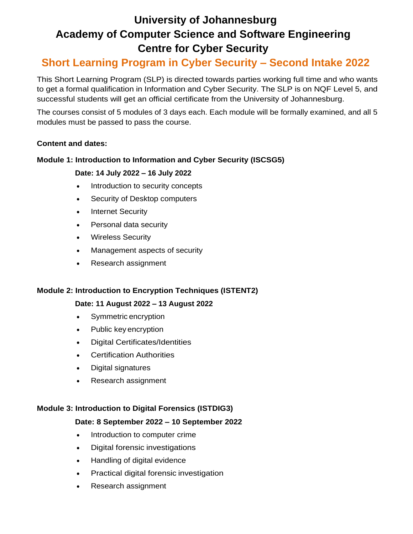# **University of Johannesburg Academy of Computer Science and Software Engineering Centre for Cyber Security**

## **Short Learning Program in Cyber Security – Second Intake 2022**

This Short Learning Program (SLP) is directed towards parties working full time and who wants to get a formal qualification in Information and Cyber Security. The SLP is on NQF Level 5, and successful students will get an official certificate from the University of Johannesburg.

The courses consist of 5 modules of 3 days each. Each module will be formally examined, and all 5 modules must be passed to pass the course.

## **Content and dates:**

## **Module 1: Introduction to Information and Cyber Security (ISCSG5)**

## **Date: 14 July 2022 – 16 July 2022**

- Introduction to security concepts
- Security of Desktop computers
- Internet Security
- Personal data security
- Wireless Security
- Management aspects of security
- Research assignment

#### **Module 2: Introduction to Encryption Techniques (ISTENT2)**

## **Date: 11 August 2022 – 13 August 2022**

- Symmetric encryption
- Public key encryption
- Digital Certificates/Identities
- Certification Authorities
- Digital signatures
- Research assignment

#### **Module 3: Introduction to Digital Forensics (ISTDIG3)**

#### **Date: 8 September 2022 – 10 September 2022**

- Introduction to computer crime
- Digital forensic investigations
- Handling of digital evidence
- Practical digital forensic investigation
- Research assignment